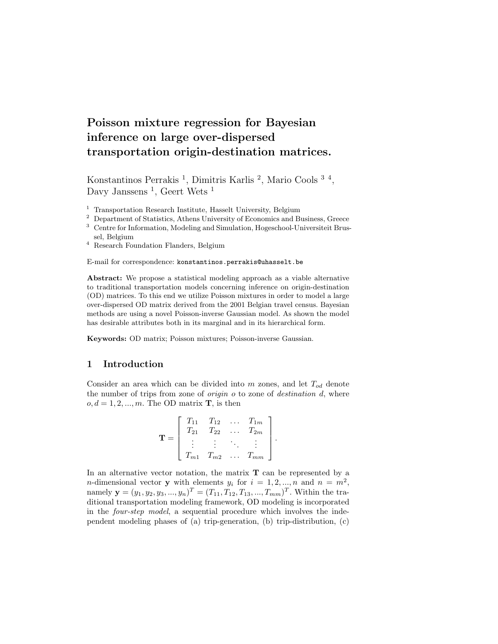# Poisson mixture regression for Bayesian inference on large over-dispersed transportation origin-destination matrices.

Konstantinos Perrakis<sup>1</sup>, Dimitris Karlis<sup>2</sup>, Mario Cools<sup>34</sup>, Davy Janssens<sup>1</sup>, Geert Wets<sup>1</sup>

<sup>1</sup> Transportation Research Institute, Hasselt University, Belgium

- <sup>2</sup> Department of Statistics, Athens University of Economics and Business, Greece
- <sup>3</sup> Centre for Information, Modeling and Simulation, Hogeschool-Universiteit Brussel, Belgium
- <sup>4</sup> Research Foundation Flanders, Belgium

E-mail for correspondence: konstantinos.perrakis@uhasselt.be

Abstract: We propose a statistical modeling approach as a viable alternative to traditional transportation models concerning inference on origin-destination (OD) matrices. To this end we utilize Poisson mixtures in order to model a large over-dispersed OD matrix derived from the 2001 Belgian travel census. Bayesian methods are using a novel Poisson-inverse Gaussian model. As shown the model has desirable attributes both in its marginal and in its hierarchical form.

Keywords: OD matrix; Poisson mixtures; Poisson-inverse Gaussian.

## 1 Introduction

Consider an area which can be divided into m zones, and let  $T_{od}$  denote the number of trips from zone of origin o to zone of destination d, where  $o, d = 1, 2, ..., m$ . The OD matrix **T**, is then

$$
\mathbf{T} = \left[ \begin{array}{cccc} T_{11} & T_{12} & \dots & T_{1m} \\ T_{21} & T_{22} & \dots & T_{2m} \\ \vdots & \vdots & \ddots & \vdots \\ T_{m1} & T_{m2} & \dots & T_{mm} \end{array} \right].
$$

In an alternative vector notation, the matrix  $T$  can be represented by a *n*-dimensional vector **y** with elements  $y_i$  for  $i = 1, 2, ..., n$  and  $n = m^2$ , namely  $\mathbf{y} = (y_1, y_2, y_3, ..., y_n)^T = (T_{11}, T_{12}, T_{13}, ..., T_{mm})^T$ . Within the traditional transportation modeling framework, OD modeling is incorporated in the four-step model, a sequential procedure which involves the independent modeling phases of (a) trip-generation, (b) trip-distribution,  $(c)$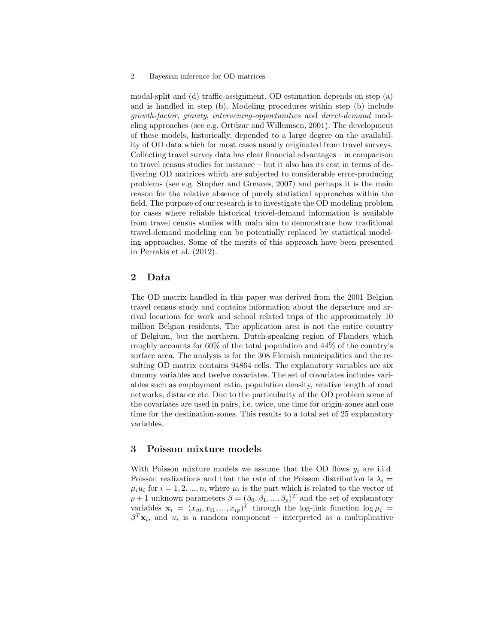#### 2 Bayesian inference for OD matrices

modal-split and (d) traffic-assignment. OD estimation depends on step (a) and is handled in step (b). Modeling procedures within step (b) include growth-factor, gravity, intervening-opportunities and direct-demand modeling approaches (see e.g. Ortúzar and Willumsen, 2001). The development of these models, historically, depended to a large degree on the availability of OD data which for most cases usually originated from travel surveys. Collecting travel survey data has clear financial advantages – in comparison to travel census studies for instance – but it also has its cost in terms of delivering OD matrices which are subjected to considerable error-producing problems (see e.g. Stopher and Greaves, 2007) and perhaps it is the main reason for the relative absence of purely statistical approaches within the field. The purpose of our research is to investigate the OD modeling problem for cases where reliable historical travel-demand information is available from travel census studies with main aim to demonstrate how traditional travel-demand modeling can be potentially replaced by statistical modeling approaches. Some of the merits of this approach have been presented in Perrakis et al. (2012).

#### 2 Data

The OD matrix handled in this paper was derived from the 2001 Belgian travel census study and contains information about the departure and arrival locations for work and school related trips of the approximately 10 million Belgian residents. The application area is not the entire country of Belgium, but the northern, Dutch-speaking region of Flanders which roughly accounts for 60% of the total population and 44% of the country's surface area. The analysis is for the 308 Flemish municipalities and the resulting OD matrix contains 94864 cells. The explanatory variables are six dummy variables and twelve covariates. The set of covariates includes variables such as employment ratio, population density, relative length of road networks, distance etc. Due to the particularity of the OD problem some of the covariates are used in pairs, i.e. twice, one time for origin-zones and one time for the destination-zones. This results to a total set of 25 explanatory variables.

## 3 Poisson mixture models

With Poisson mixture models we assume that the OD flows  $y_i$  are i.i.d. Poisson realizations and that the rate of the Poisson distribution is  $\lambda_i =$  $\mu_i u_i$  for  $i = 1, 2, ..., n$ , where  $\mu_i$  is the part which is related to the vector of  $p+1$  unknown parameters  $\beta = (\beta_0, \beta_1, ..., \beta_p)^T$  and the set of explanatory variables  $\mathbf{x}_i = (x_{i0}, x_{i1}, ..., x_{ip})^T$  through the log-link function  $\log \mu_i =$  $\beta^T \mathbf{x}_i$ , and  $u_i$  is a random component – interpreted as a multiplicative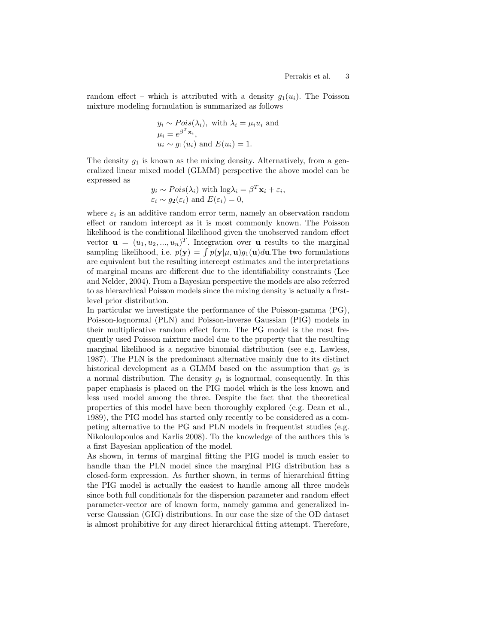random effect – which is attributed with a density  $q_1(u_i)$ . The Poisson mixture modeling formulation is summarized as follows

$$
y_i \sim Pois(\lambda_i)
$$
, with  $\lambda_i = \mu_i u_i$  and  
\n $\mu_i = e^{\beta^T \mathbf{x}_i}$ ,  
\n $u_i \sim g_1(u_i)$  and  $E(u_i) = 1$ .

The density  $g_1$  is known as the mixing density. Alternatively, from a generalized linear mixed model (GLMM) perspective the above model can be expressed as

$$
y_i \sim Pois(\lambda_i)
$$
 with  $log \lambda_i = \beta^T \mathbf{x}_i + \varepsilon_i$ ,  
\n $\varepsilon_i \sim g_2(\varepsilon_i)$  and  $E(\varepsilon_i) = 0$ ,

where  $\varepsilon_i$  is an additive random error term, namely an observation random effect or random intercept as it is most commonly known. The Poisson likelihood is the conditional likelihood given the unobserved random effect vector  $\mathbf{u} = (u_1, u_2, ..., u_n)^T$ . Integration over **u** results to the marginal vector  $\mathbf{u} = (u_1, u_2, ..., u_n)^T$ . Integration over  $\mathbf{u}$  results to the marginal sampling likelihood, i.e.  $p(\mathbf{y}) = \int p(\mathbf{y}|\mu, \mathbf{u})g_1(\mathbf{u})d\mathbf{u}$ . The two formulations are equivalent but the resulting intercept estimates and the interpretations of marginal means are different due to the identifiability constraints (Lee and Nelder, 2004). From a Bayesian perspective the models are also referred to as hierarchical Poisson models since the mixing density is actually a firstlevel prior distribution.

In particular we investigate the performance of the Poisson-gamma (PG), Poisson-lognormal (PLN) and Poisson-inverse Gaussian (PIG) models in their multiplicative random effect form. The PG model is the most frequently used Poisson mixture model due to the property that the resulting marginal likelihood is a negative binomial distribution (see e.g. Lawless, 1987). The PLN is the predominant alternative mainly due to its distinct historical development as a GLMM based on the assumption that  $q_2$  is a normal distribution. The density  $g_1$  is lognormal, consequently. In this paper emphasis is placed on the PIG model which is the less known and less used model among the three. Despite the fact that the theoretical properties of this model have been thoroughly explored (e.g. Dean et al., 1989), the PIG model has started only recently to be considered as a competing alternative to the PG and PLN models in frequentist studies (e.g. Nikoloulopoulos and Karlis 2008). To the knowledge of the authors this is a first Bayesian application of the model.

As shown, in terms of marginal fitting the PIG model is much easier to handle than the PLN model since the marginal PIG distribution has a closed-form expression. As further shown, in terms of hierarchical fitting the PIG model is actually the easiest to handle among all three models since both full conditionals for the dispersion parameter and random effect parameter-vector are of known form, namely gamma and generalized inverse Gaussian (GIG) distributions. In our case the size of the OD dataset is almost prohibitive for any direct hierarchical fitting attempt. Therefore,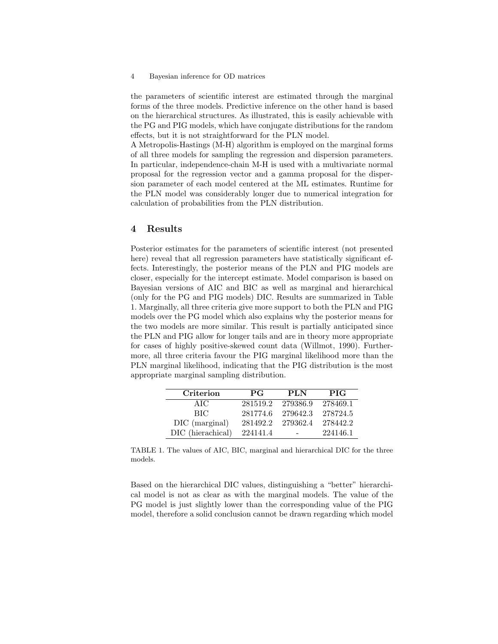#### 4 Bayesian inference for OD matrices

the parameters of scientific interest are estimated through the marginal forms of the three models. Predictive inference on the other hand is based on the hierarchical structures. As illustrated, this is easily achievable with the PG and PIG models, which have conjugate distributions for the random effects, but it is not straightforward for the PLN model.

A Metropolis-Hastings (M-H) algorithm is employed on the marginal forms of all three models for sampling the regression and dispersion parameters. In particular, independence-chain M-H is used with a multivariate normal proposal for the regression vector and a gamma proposal for the dispersion parameter of each model centered at the ML estimates. Runtime for the PLN model was considerably longer due to numerical integration for calculation of probabilities from the PLN distribution.

#### 4 Results

Posterior estimates for the parameters of scientific interest (not presented here) reveal that all regression parameters have statistically significant effects. Interestingly, the posterior means of the PLN and PIG models are closer, especially for the intercept estimate. Model comparison is based on Bayesian versions of AIC and BIC as well as marginal and hierarchical (only for the PG and PIG models) DIC. Results are summarized in Table 1. Marginally, all three criteria give more support to both the PLN and PIG models over the PG model which also explains why the posterior means for the two models are more similar. This result is partially anticipated since the PLN and PIG allow for longer tails and are in theory more appropriate for cases of highly positive-skewed count data (Willmot, 1990). Furthermore, all three criteria favour the PIG marginal likelihood more than the PLN marginal likelihood, indicating that the PIG distribution is the most appropriate marginal sampling distribution.

| Criterion         | <b>PG</b> | <b>PLN</b> | <b>PIG</b> |
|-------------------|-----------|------------|------------|
| AIC               | 281519.2  | 279386.9   | 278469.1   |
| BIC.              | 281774.6  | 279642.3   | 278724.5   |
| DIC (marginal)    | 281492.2  | 279362.4   | 278442.2   |
| DIC (hierachical) | 224141.4  |            | 224146.1   |

TABLE 1. The values of AIC, BIC, marginal and hierarchical DIC for the three models.

Based on the hierarchical DIC values, distinguishing a "better" hierarchical model is not as clear as with the marginal models. The value of the PG model is just slightly lower than the corresponding value of the PIG model, therefore a solid conclusion cannot be drawn regarding which model